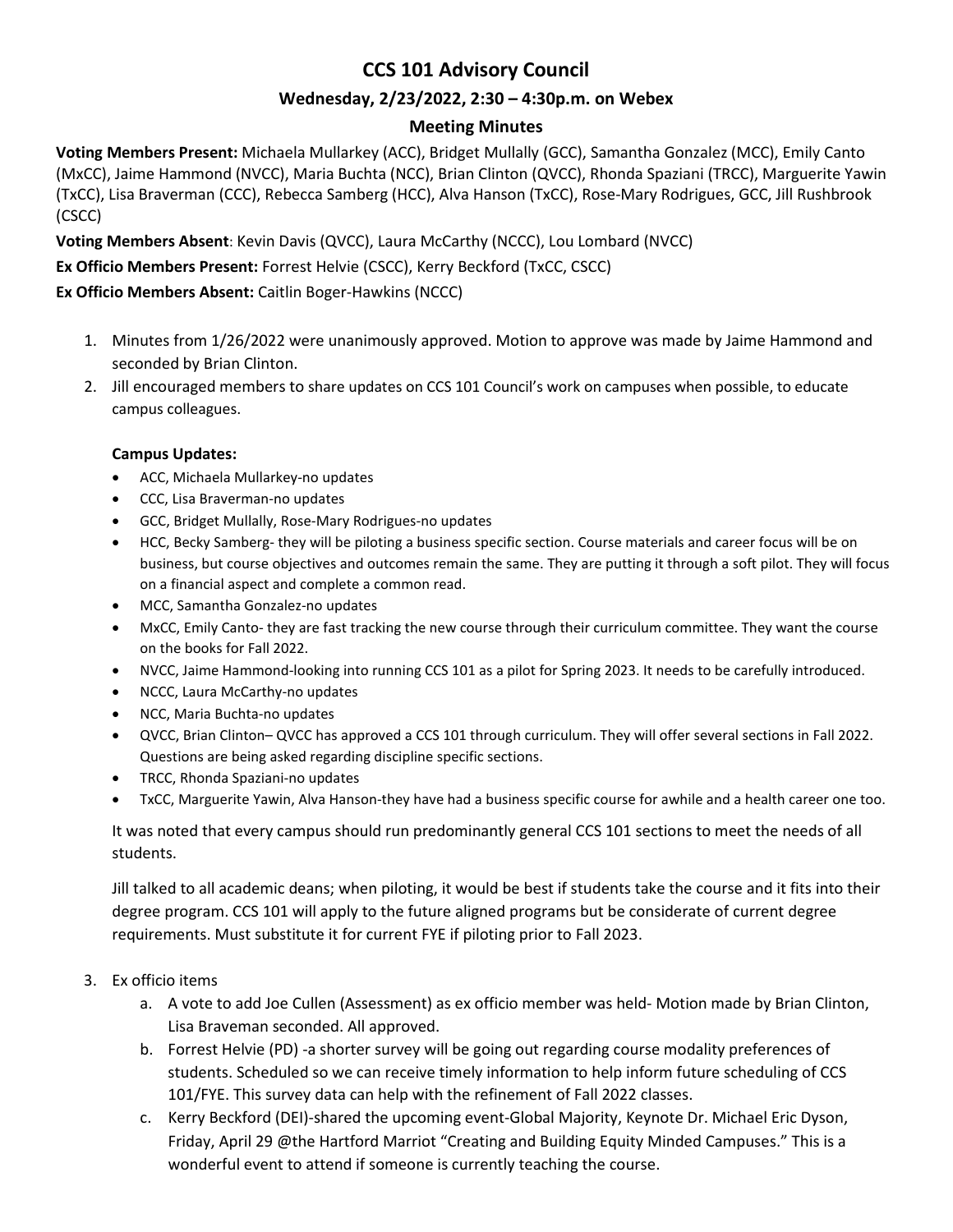# **CCS 101 Advisory Council**

### **Wednesday, 2/23/2022, 2:30 – 4:30p.m. on Webex**

#### **Meeting Minutes**

**Voting Members Present:** Michaela Mullarkey (ACC), Bridget Mullally (GCC), Samantha Gonzalez (MCC), Emily Canto (MxCC), Jaime Hammond (NVCC), Maria Buchta (NCC), Brian Clinton (QVCC), Rhonda Spaziani (TRCC), Marguerite Yawin (TxCC), Lisa Braverman (CCC), Rebecca Samberg (HCC), Alva Hanson (TxCC), Rose-Mary Rodrigues, GCC, Jill Rushbrook (CSCC)

**Voting Members Absent**: Kevin Davis (QVCC), Laura McCarthy (NCCC), Lou Lombard (NVCC)

**Ex Officio Members Present:** Forrest Helvie (CSCC), Kerry Beckford (TxCC, CSCC)

**Ex Officio Members Absent:** Caitlin Boger-Hawkins (NCCC)

- 1. Minutes from 1/26/2022 were unanimously approved. Motion to approve was made by Jaime Hammond and seconded by Brian Clinton.
- 2. Jill encouraged members to share updates on CCS 101 Council's work on campuses when possible, to educate campus colleagues.

#### **Campus Updates:**

- ACC, Michaela Mullarkey-no updates
- CCC, Lisa Braverman-no updates
- GCC, Bridget Mullally, Rose-Mary Rodrigues-no updates
- HCC, Becky Samberg- they will be piloting a business specific section. Course materials and career focus will be on business, but course objectives and outcomes remain the same. They are putting it through a soft pilot. They will focus on a financial aspect and complete a common read.
- MCC, Samantha Gonzalez-no updates
- MxCC, Emily Canto- they are fast tracking the new course through their curriculum committee. They want the course on the books for Fall 2022.
- NVCC, Jaime Hammond-looking into running CCS 101 as a pilot for Spring 2023. It needs to be carefully introduced.
- NCCC, Laura McCarthy-no updates
- NCC, Maria Buchta-no updates
- QVCC, Brian Clinton– QVCC has approved a CCS 101 through curriculum. They will offer several sections in Fall 2022. Questions are being asked regarding discipline specific sections.
- TRCC, Rhonda Spaziani-no updates
- TxCC, Marguerite Yawin, Alva Hanson-they have had a business specific course for awhile and a health career one too.

It was noted that every campus should run predominantly general CCS 101 sections to meet the needs of all students.

Jill talked to all academic deans; when piloting, it would be best if students take the course and it fits into their degree program. CCS 101 will apply to the future aligned programs but be considerate of current degree requirements. Must substitute it for current FYE if piloting prior to Fall 2023.

- 3. Ex officio items
	- a. A vote to add Joe Cullen (Assessment) as ex officio member was held- Motion made by Brian Clinton, Lisa Braveman seconded. All approved.
	- b. Forrest Helvie (PD) -a shorter survey will be going out regarding course modality preferences of students. Scheduled so we can receive timely information to help inform future scheduling of CCS 101/FYE. This survey data can help with the refinement of Fall 2022 classes.
	- c. Kerry Beckford (DEI)-shared the upcoming event-Global Majority, Keynote Dr. Michael Eric Dyson, Friday, April 29 @the Hartford Marriot "Creating and Building Equity Minded Campuses." This is a wonderful event to attend if someone is currently teaching the course.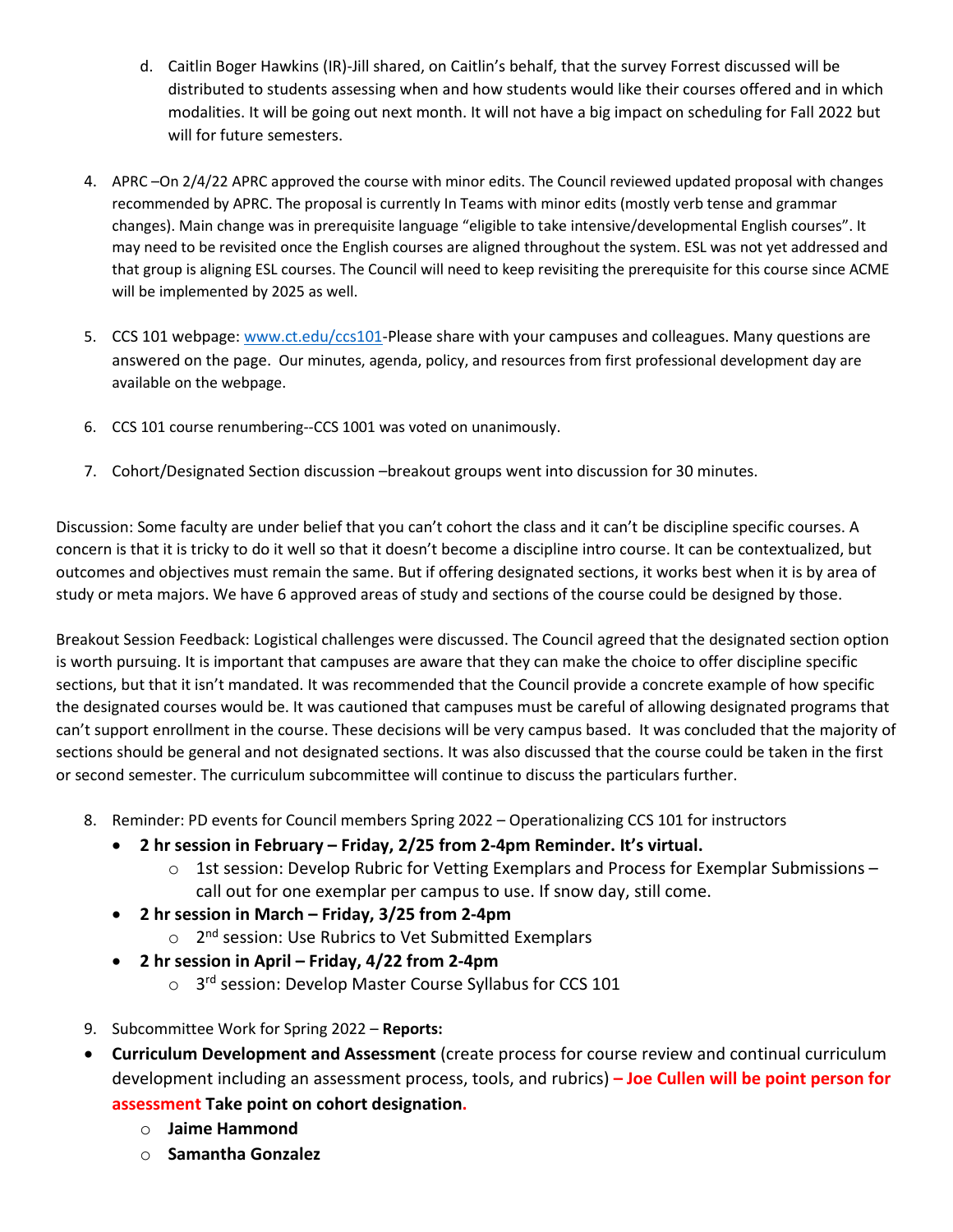- d. Caitlin Boger Hawkins (IR)-Jill shared, on Caitlin's behalf, that the survey Forrest discussed will be distributed to students assessing when and how students would like their courses offered and in which modalities. It will be going out next month. It will not have a big impact on scheduling for Fall 2022 but will for future semesters.
- 4. APRC –On 2/4/22 APRC approved the course with minor edits. The Council reviewed updated proposal with changes recommended by APRC. The proposal is currently In Teams with minor edits (mostly verb tense and grammar changes). Main change was in prerequisite language "eligible to take intensive/developmental English courses". It may need to be revisited once the English courses are aligned throughout the system. ESL was not yet addressed and that group is aligning ESL courses. The Council will need to keep revisiting the prerequisite for this course since ACME will be implemented by 2025 as well.
- 5. CCS 101 webpage: [www.ct.edu/ccs101-](http://www.ct.edu/ccs101)Please share with your campuses and colleagues. Many questions are answered on the page. Our minutes, agenda, policy, and resources from first professional development day are available on the webpage.
- 6. CCS 101 course renumbering--CCS 1001 was voted on unanimously.
- 7. Cohort/Designated Section discussion –breakout groups went into discussion for 30 minutes.

Discussion: Some faculty are under belief that you can't cohort the class and it can't be discipline specific courses. A concern is that it is tricky to do it well so that it doesn't become a discipline intro course. It can be contextualized, but outcomes and objectives must remain the same. But if offering designated sections, it works best when it is by area of study or meta majors. We have 6 approved areas of study and sections of the course could be designed by those.

Breakout Session Feedback: Logistical challenges were discussed. The Council agreed that the designated section option is worth pursuing. It is important that campuses are aware that they can make the choice to offer discipline specific sections, but that it isn't mandated. It was recommended that the Council provide a concrete example of how specific the designated courses would be. It was cautioned that campuses must be careful of allowing designated programs that can't support enrollment in the course. These decisions will be very campus based. It was concluded that the majority of sections should be general and not designated sections. It was also discussed that the course could be taken in the first or second semester. The curriculum subcommittee will continue to discuss the particulars further.

- 8. Reminder: PD events for Council members Spring 2022 Operationalizing CCS 101 for instructors
	- **2 hr session in February – Friday, 2/25 from 2-4pm Reminder. It's virtual.** 
		- $\circ$  1st session: Develop Rubric for Vetting Exemplars and Process for Exemplar Submissions call out for one exemplar per campus to use. If snow day, still come.
	- **2 hr session in March – Friday, 3/25 from 2-4pm**
		- o 2<sup>nd</sup> session: Use Rubrics to Vet Submitted Exemplars
	- **2 hr session in April – Friday, 4/22 from 2-4pm**
		- o 3<sup>rd</sup> session: Develop Master Course Syllabus for CCS 101
- 9. Subcommittee Work for Spring 2022 **Reports:**
- **Curriculum Development and Assessment** (create process for course review and continual curriculum development including an assessment process, tools, and rubrics) **– Joe Cullen will be point person for assessment Take point on cohort designation.** 
	- o **Jaime Hammond**
	- o **Samantha Gonzalez**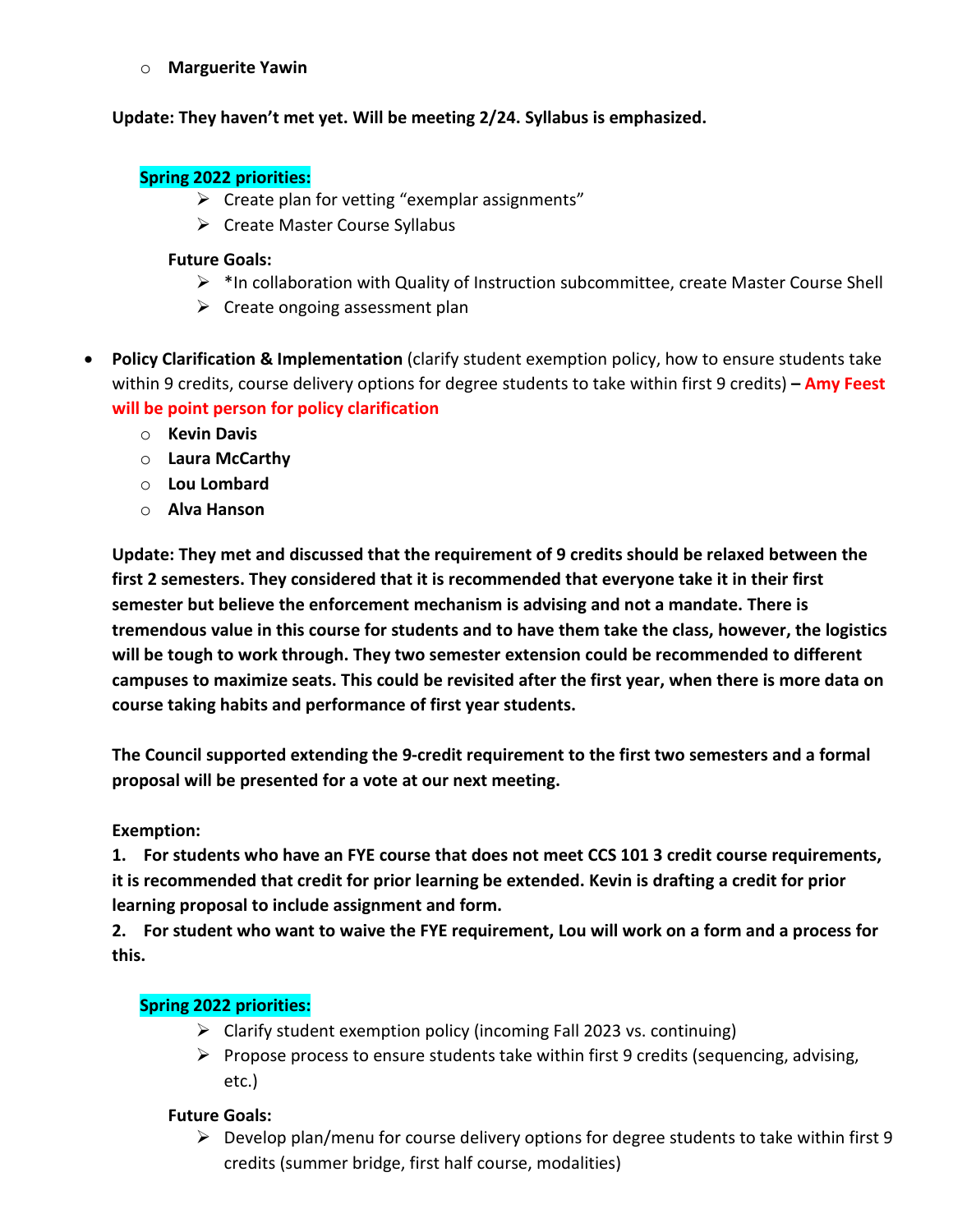o **Marguerite Yawin**

#### **Update: They haven't met yet. Will be meeting 2/24. Syllabus is emphasized.**

#### **Spring 2022 priorities:**

- $\triangleright$  Create plan for vetting "exemplar assignments"
- $\triangleright$  Create Master Course Syllabus

#### **Future Goals:**

- $\triangleright$  \*In collaboration with Quality of Instruction subcommittee, create Master Course Shell
- $\triangleright$  Create ongoing assessment plan
- **Policy Clarification & Implementation** (clarify student exemption policy, how to ensure students take within 9 credits, course delivery options for degree students to take within first 9 credits) **– Amy Feest will be point person for policy clarification**
	- o **Kevin Davis**
	- o **Laura McCarthy**
	- o **Lou Lombard**
	- o **Alva Hanson**

**Update: They met and discussed that the requirement of 9 credits should be relaxed between the first 2 semesters. They considered that it is recommended that everyone take it in their first semester but believe the enforcement mechanism is advising and not a mandate. There is tremendous value in this course for students and to have them take the class, however, the logistics will be tough to work through. They two semester extension could be recommended to different campuses to maximize seats. This could be revisited after the first year, when there is more data on course taking habits and performance of first year students.** 

**The Council supported extending the 9-credit requirement to the first two semesters and a formal proposal will be presented for a vote at our next meeting.**

#### **Exemption:**

**1. For students who have an FYE course that does not meet CCS 101 3 credit course requirements, it is recommended that credit for prior learning be extended. Kevin is drafting a credit for prior learning proposal to include assignment and form.** 

**2. For student who want to waive the FYE requirement, Lou will work on a form and a process for this.**

#### **Spring 2022 priorities:**

- $\triangleright$  Clarify student exemption policy (incoming Fall 2023 vs. continuing)
- $\triangleright$  Propose process to ensure students take within first 9 credits (sequencing, advising, etc.)

#### **Future Goals:**

 $\triangleright$  Develop plan/menu for course delivery options for degree students to take within first 9 credits (summer bridge, first half course, modalities)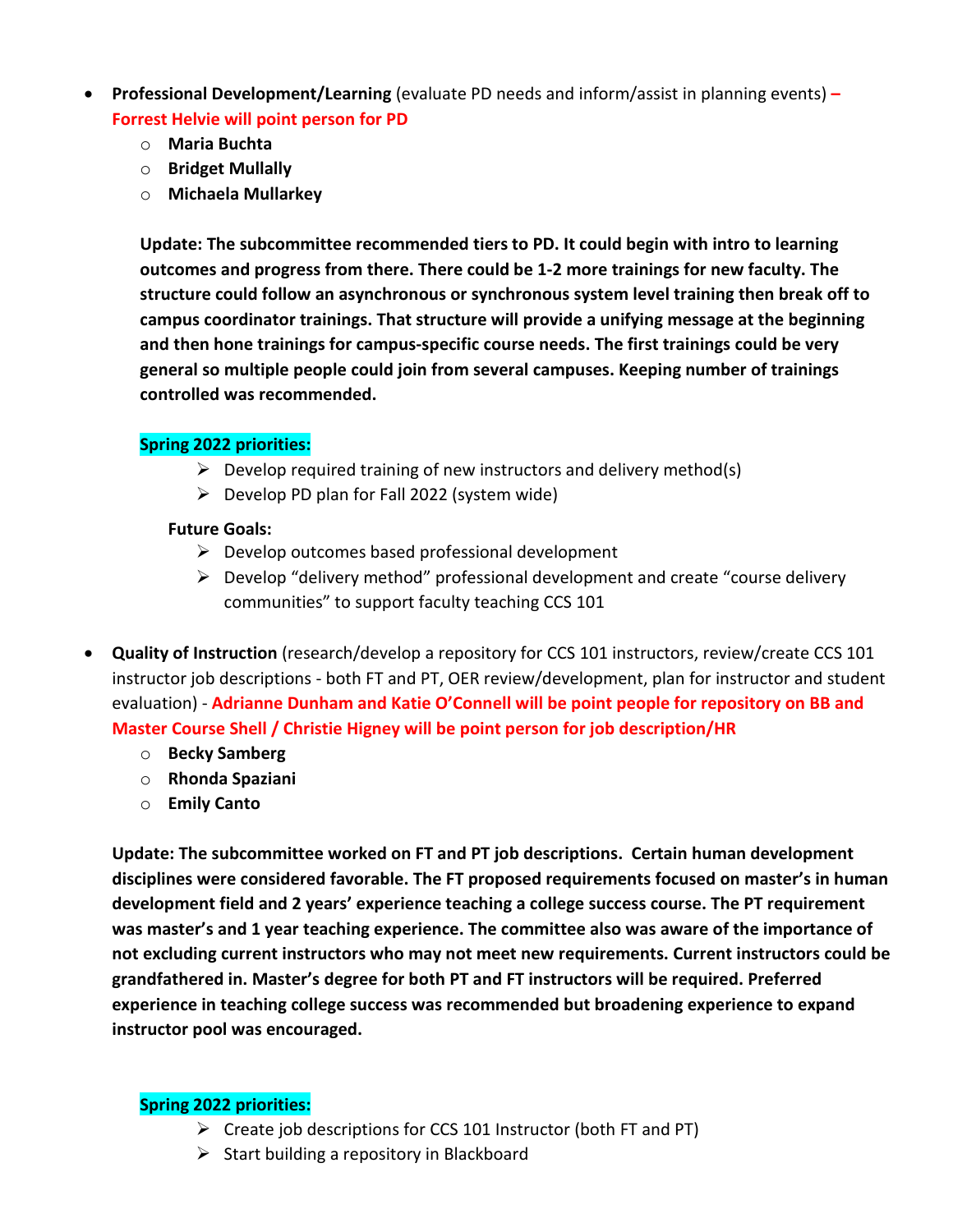- **Professional Development/Learning** (evaluate PD needs and inform/assist in planning events) **– Forrest Helvie will point person for PD**
	- o **Maria Buchta**
	- o **Bridget Mullally**
	- o **Michaela Mullarkey**

**Update: The subcommittee recommended tiers to PD. It could begin with intro to learning outcomes and progress from there. There could be 1-2 more trainings for new faculty. The structure could follow an asynchronous or synchronous system level training then break off to campus coordinator trainings. That structure will provide a unifying message at the beginning and then hone trainings for campus-specific course needs. The first trainings could be very general so multiple people could join from several campuses. Keeping number of trainings controlled was recommended.** 

### **Spring 2022 priorities:**

- $\triangleright$  Develop required training of new instructors and delivery method(s)
- $\triangleright$  Develop PD plan for Fall 2022 (system wide)

### **Future Goals:**

- $\triangleright$  Develop outcomes based professional development
- $\triangleright$  Develop "delivery method" professional development and create "course delivery communities" to support faculty teaching CCS 101
- **Quality of Instruction** (research/develop a repository for CCS 101 instructors, review/create CCS 101 instructor job descriptions - both FT and PT, OER review/development, plan for instructor and student evaluation) - **Adrianne Dunham and Katie O'Connell will be point people for repository on BB and Master Course Shell / Christie Higney will be point person for job description/HR**
	- o **Becky Samberg**
	- o **Rhonda Spaziani**
	- o **Emily Canto**

**Update: The subcommittee worked on FT and PT job descriptions. Certain human development disciplines were considered favorable. The FT proposed requirements focused on master's in human development field and 2 years' experience teaching a college success course. The PT requirement was master's and 1 year teaching experience. The committee also was aware of the importance of not excluding current instructors who may not meet new requirements. Current instructors could be grandfathered in. Master's degree for both PT and FT instructors will be required. Preferred experience in teaching college success was recommended but broadening experience to expand instructor pool was encouraged.** 

### **Spring 2022 priorities:**

- $\triangleright$  Create job descriptions for CCS 101 Instructor (both FT and PT)
- $\triangleright$  Start building a repository in Blackboard